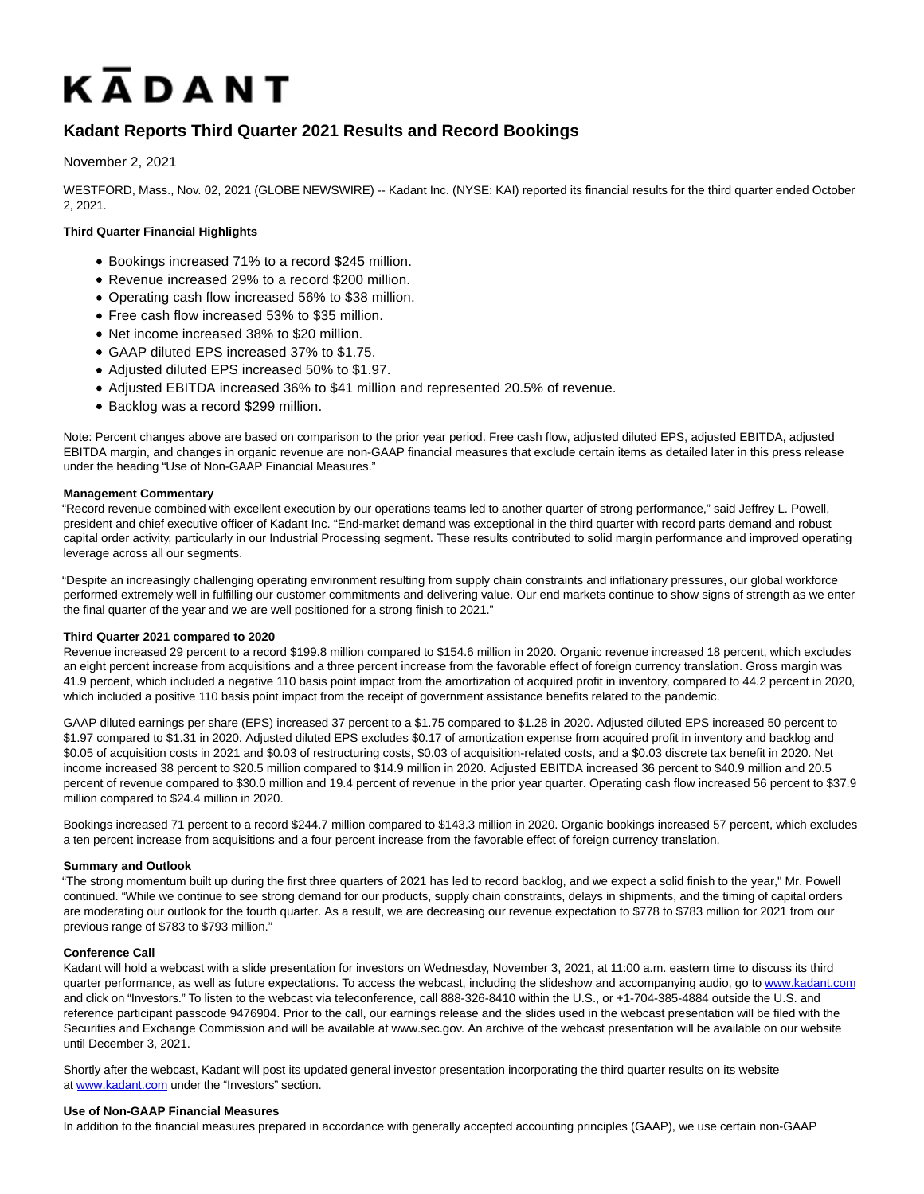# KADANT

# **Kadant Reports Third Quarter 2021 Results and Record Bookings**

#### November 2, 2021

WESTFORD, Mass., Nov. 02, 2021 (GLOBE NEWSWIRE) -- Kadant Inc. (NYSE: KAI) reported its financial results for the third quarter ended October 2, 2021.

## **Third Quarter Financial Highlights**

- Bookings increased 71% to a record \$245 million.
- Revenue increased 29% to a record \$200 million.
- Operating cash flow increased 56% to \$38 million.
- Free cash flow increased 53% to \$35 million.
- Net income increased 38% to \$20 million.
- GAAP diluted EPS increased 37% to \$1.75.
- Adjusted diluted EPS increased 50% to \$1.97.
- Adjusted EBITDA increased 36% to \$41 million and represented 20.5% of revenue.
- Backlog was a record \$299 million.

Note: Percent changes above are based on comparison to the prior year period. Free cash flow, adjusted diluted EPS, adjusted EBITDA, adjusted EBITDA margin, and changes in organic revenue are non-GAAP financial measures that exclude certain items as detailed later in this press release under the heading "Use of Non-GAAP Financial Measures."

#### **Management Commentary**

"Record revenue combined with excellent execution by our operations teams led to another quarter of strong performance," said Jeffrey L. Powell, president and chief executive officer of Kadant Inc. "End-market demand was exceptional in the third quarter with record parts demand and robust capital order activity, particularly in our Industrial Processing segment. These results contributed to solid margin performance and improved operating leverage across all our segments.

"Despite an increasingly challenging operating environment resulting from supply chain constraints and inflationary pressures, our global workforce performed extremely well in fulfilling our customer commitments and delivering value. Our end markets continue to show signs of strength as we enter the final quarter of the year and we are well positioned for a strong finish to 2021."

#### **Third Quarter 2021 compared to 2020**

Revenue increased 29 percent to a record \$199.8 million compared to \$154.6 million in 2020. Organic revenue increased 18 percent, which excludes an eight percent increase from acquisitions and a three percent increase from the favorable effect of foreign currency translation. Gross margin was 41.9 percent, which included a negative 110 basis point impact from the amortization of acquired profit in inventory, compared to 44.2 percent in 2020, which included a positive 110 basis point impact from the receipt of government assistance benefits related to the pandemic.

GAAP diluted earnings per share (EPS) increased 37 percent to a \$1.75 compared to \$1.28 in 2020. Adjusted diluted EPS increased 50 percent to \$1.97 compared to \$1.31 in 2020. Adjusted diluted EPS excludes \$0.17 of amortization expense from acquired profit in inventory and backlog and \$0.05 of acquisition costs in 2021 and \$0.03 of restructuring costs, \$0.03 of acquisition-related costs, and a \$0.03 discrete tax benefit in 2020. Net income increased 38 percent to \$20.5 million compared to \$14.9 million in 2020. Adjusted EBITDA increased 36 percent to \$40.9 million and 20.5 percent of revenue compared to \$30.0 million and 19.4 percent of revenue in the prior year quarter. Operating cash flow increased 56 percent to \$37.9 million compared to \$24.4 million in 2020.

Bookings increased 71 percent to a record \$244.7 million compared to \$143.3 million in 2020. Organic bookings increased 57 percent, which excludes a ten percent increase from acquisitions and a four percent increase from the favorable effect of foreign currency translation.

#### **Summary and Outlook**

"The strong momentum built up during the first three quarters of 2021 has led to record backlog, and we expect a solid finish to the year," Mr. Powell continued. "While we continue to see strong demand for our products, supply chain constraints, delays in shipments, and the timing of capital orders are moderating our outlook for the fourth quarter. As a result, we are decreasing our revenue expectation to \$778 to \$783 million for 2021 from our previous range of \$783 to \$793 million."

#### **Conference Call**

Kadant will hold a webcast with a slide presentation for investors on Wednesday, November 3, 2021, at 11:00 a.m. eastern time to discuss its third quarter performance, as well as future expectations. To access the webcast, including the slideshow and accompanying audio, go to [www.kadant.com](https://www.globenewswire.com/Tracker?data=Y7gkLlnEe-EVBLU4YQnwg2lwEEDtM-1Q8qw3gweX990SHjRacVaA8PuH5DeN1kPnAVz7HMquCz7Cm2RZsMlf4w==) and click on "Investors." To listen to the webcast via teleconference, call 888-326-8410 within the U.S., or +1-704-385-4884 outside the U.S. and reference participant passcode 9476904. Prior to the call, our earnings release and the slides used in the webcast presentation will be filed with the Securities and Exchange Commission and will be available at www.sec.gov. An archive of the webcast presentation will be available on our website until December 3, 2021.

Shortly after the webcast, Kadant will post its updated general investor presentation incorporating the third quarter results on its website at [www.kadant.com u](https://www.globenewswire.com/Tracker?data=Y7gkLlnEe-EVBLU4YQnwg5pXTS5gsBS4wh7vdGPjMveo5V5WYaOacNHwWSDlXS8hCSkKu393EH0Aci6FXGxOEQ==)nder the "Investors" section.

#### **Use of Non-GAAP Financial Measures**

In addition to the financial measures prepared in accordance with generally accepted accounting principles (GAAP), we use certain non-GAAP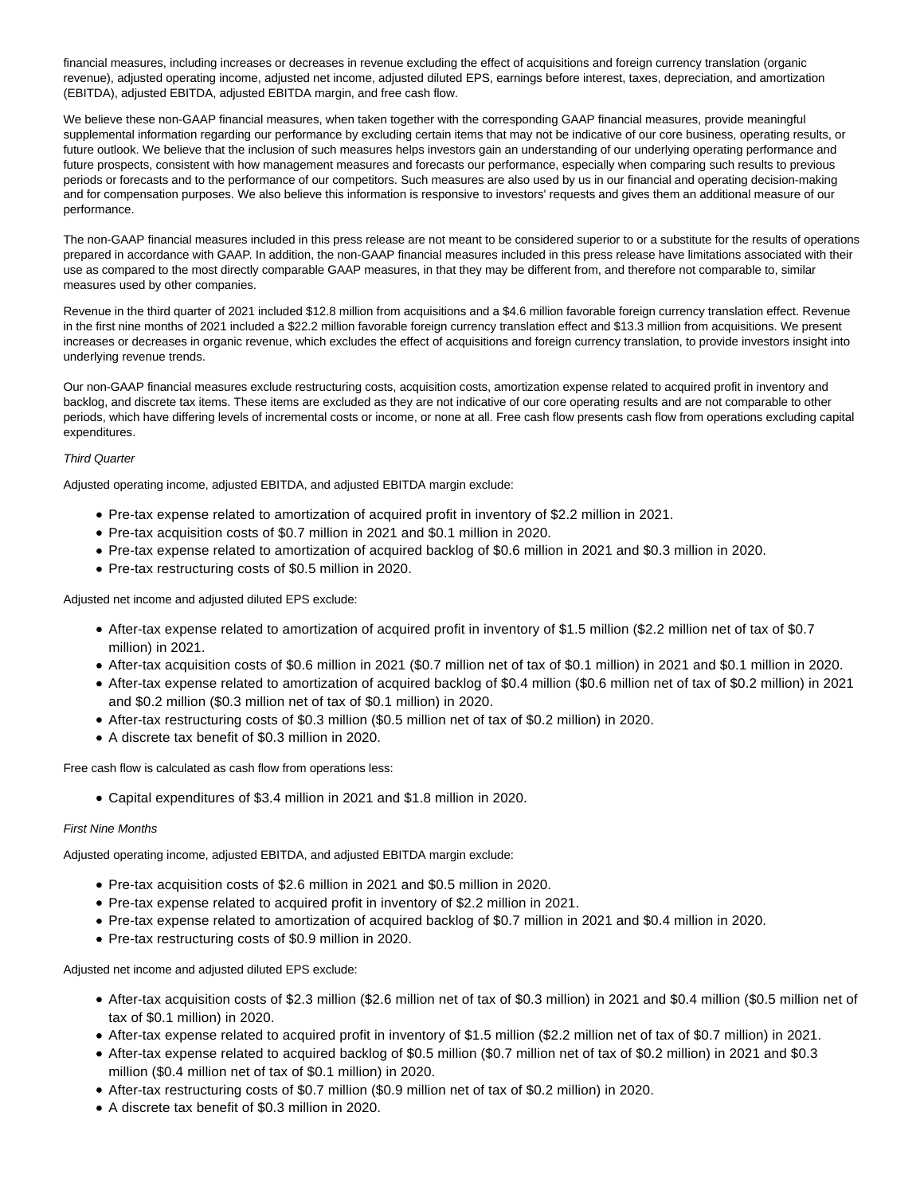financial measures, including increases or decreases in revenue excluding the effect of acquisitions and foreign currency translation (organic revenue), adjusted operating income, adjusted net income, adjusted diluted EPS, earnings before interest, taxes, depreciation, and amortization (EBITDA), adjusted EBITDA, adjusted EBITDA margin, and free cash flow.

We believe these non-GAAP financial measures, when taken together with the corresponding GAAP financial measures, provide meaningful supplemental information regarding our performance by excluding certain items that may not be indicative of our core business, operating results, or future outlook. We believe that the inclusion of such measures helps investors gain an understanding of our underlying operating performance and future prospects, consistent with how management measures and forecasts our performance, especially when comparing such results to previous periods or forecasts and to the performance of our competitors. Such measures are also used by us in our financial and operating decision-making and for compensation purposes. We also believe this information is responsive to investors' requests and gives them an additional measure of our performance.

The non-GAAP financial measures included in this press release are not meant to be considered superior to or a substitute for the results of operations prepared in accordance with GAAP. In addition, the non-GAAP financial measures included in this press release have limitations associated with their use as compared to the most directly comparable GAAP measures, in that they may be different from, and therefore not comparable to, similar measures used by other companies.

Revenue in the third quarter of 2021 included \$12.8 million from acquisitions and a \$4.6 million favorable foreign currency translation effect. Revenue in the first nine months of 2021 included a \$22.2 million favorable foreign currency translation effect and \$13.3 million from acquisitions. We present increases or decreases in organic revenue, which excludes the effect of acquisitions and foreign currency translation, to provide investors insight into underlying revenue trends.

Our non-GAAP financial measures exclude restructuring costs, acquisition costs, amortization expense related to acquired profit in inventory and backlog, and discrete tax items. These items are excluded as they are not indicative of our core operating results and are not comparable to other periods, which have differing levels of incremental costs or income, or none at all. Free cash flow presents cash flow from operations excluding capital expenditures.

#### Third Quarter

Adjusted operating income, adjusted EBITDA, and adjusted EBITDA margin exclude:

- Pre-tax expense related to amortization of acquired profit in inventory of \$2.2 million in 2021.
- Pre-tax acquisition costs of \$0.7 million in 2021 and \$0.1 million in 2020.
- Pre-tax expense related to amortization of acquired backlog of \$0.6 million in 2021 and \$0.3 million in 2020.
- Pre-tax restructuring costs of \$0.5 million in 2020.

Adjusted net income and adjusted diluted EPS exclude:

- After-tax expense related to amortization of acquired profit in inventory of \$1.5 million (\$2.2 million net of tax of \$0.7 million) in 2021.
- After-tax acquisition costs of \$0.6 million in 2021 (\$0.7 million net of tax of \$0.1 million) in 2021 and \$0.1 million in 2020.
- After-tax expense related to amortization of acquired backlog of \$0.4 million (\$0.6 million net of tax of \$0.2 million) in 2021 and \$0.2 million (\$0.3 million net of tax of \$0.1 million) in 2020.
- After-tax restructuring costs of \$0.3 million (\$0.5 million net of tax of \$0.2 million) in 2020.
- A discrete tax benefit of \$0.3 million in 2020.

Free cash flow is calculated as cash flow from operations less:

Capital expenditures of \$3.4 million in 2021 and \$1.8 million in 2020.

#### First Nine Months

Adjusted operating income, adjusted EBITDA, and adjusted EBITDA margin exclude:

- Pre-tax acquisition costs of \$2.6 million in 2021 and \$0.5 million in 2020.
- Pre-tax expense related to acquired profit in inventory of \$2.2 million in 2021.
- Pre-tax expense related to amortization of acquired backlog of \$0.7 million in 2021 and \$0.4 million in 2020.
- Pre-tax restructuring costs of \$0.9 million in 2020.

Adjusted net income and adjusted diluted EPS exclude:

- After-tax acquisition costs of \$2.3 million (\$2.6 million net of tax of \$0.3 million) in 2021 and \$0.4 million (\$0.5 million net of tax of \$0.1 million) in 2020.
- After-tax expense related to acquired profit in inventory of \$1.5 million (\$2.2 million net of tax of \$0.7 million) in 2021.
- After-tax expense related to acquired backlog of \$0.5 million (\$0.7 million net of tax of \$0.2 million) in 2021 and \$0.3 million (\$0.4 million net of tax of \$0.1 million) in 2020.
- After-tax restructuring costs of \$0.7 million (\$0.9 million net of tax of \$0.2 million) in 2020.
- A discrete tax benefit of \$0.3 million in 2020.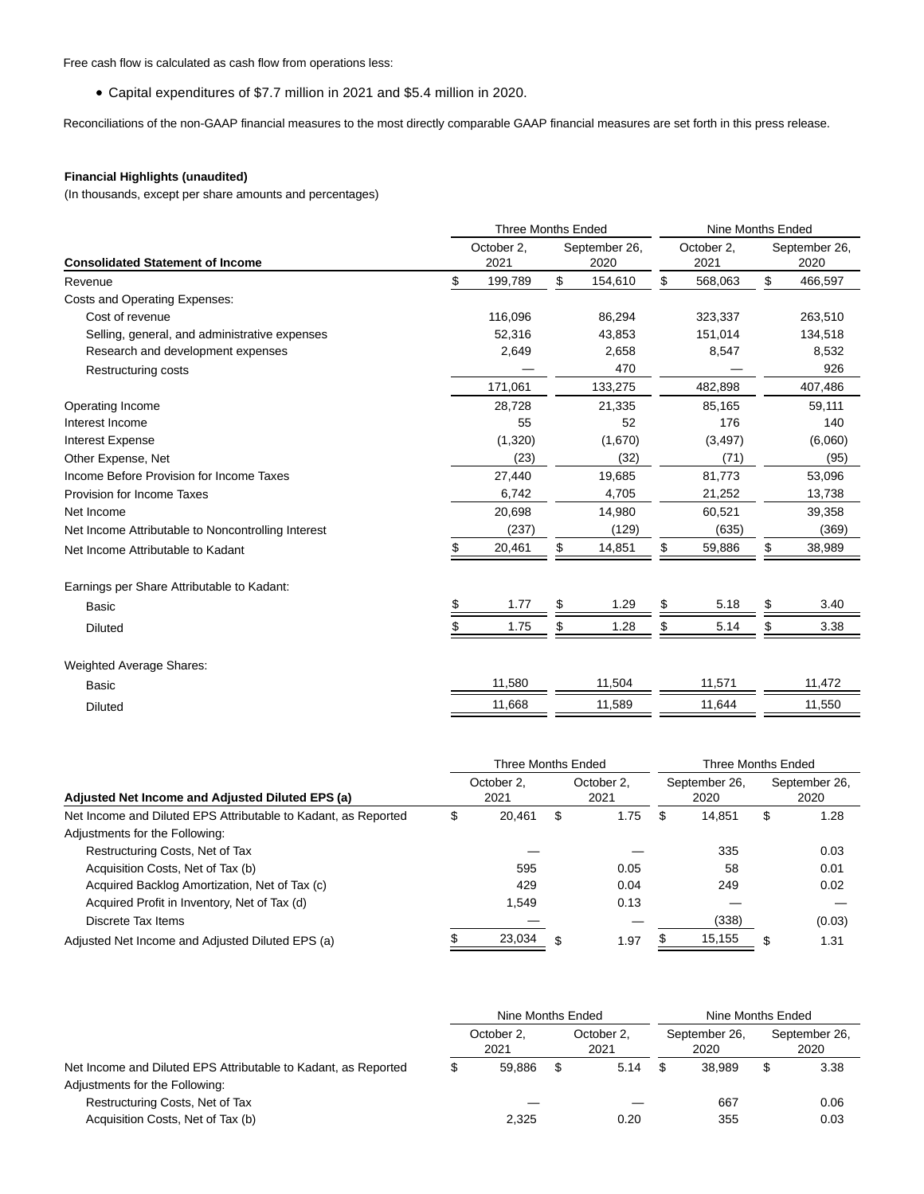Free cash flow is calculated as cash flow from operations less:

Capital expenditures of \$7.7 million in 2021 and \$5.4 million in 2020.

Reconciliations of the non-GAAP financial measures to the most directly comparable GAAP financial measures are set forth in this press release.

## **Financial Highlights (unaudited)**

(In thousands, except per share amounts and percentages)

|                                                    | <b>Three Months Ended</b>                   |    | Nine Months Ended |    |                    |    |                       |  |
|----------------------------------------------------|---------------------------------------------|----|-------------------|----|--------------------|----|-----------------------|--|
| <b>Consolidated Statement of Income</b>            | October 2,<br>September 26,<br>2021<br>2020 |    |                   |    | October 2,<br>2021 |    | September 26,<br>2020 |  |
| Revenue                                            | \$<br>199,789                               | \$ | 154,610           | \$ | 568,063            | \$ | 466,597               |  |
| Costs and Operating Expenses:                      |                                             |    |                   |    |                    |    |                       |  |
| Cost of revenue                                    | 116,096                                     |    | 86,294            |    | 323,337            |    | 263,510               |  |
| Selling, general, and administrative expenses      | 52,316                                      |    | 43,853            |    | 151,014            |    | 134,518               |  |
| Research and development expenses                  | 2,649                                       |    | 2,658             |    | 8,547              |    | 8,532                 |  |
| Restructuring costs                                |                                             |    | 470               |    |                    |    | 926                   |  |
|                                                    | 171,061                                     |    | 133,275           |    | 482,898            |    | 407,486               |  |
| Operating Income                                   | 28,728                                      |    | 21,335            |    | 85,165             |    | 59,111                |  |
| Interest Income                                    | 55                                          |    | 52                |    | 176                |    | 140                   |  |
| <b>Interest Expense</b>                            | (1,320)                                     |    | (1,670)           |    | (3, 497)           |    | (6,060)               |  |
| Other Expense, Net                                 | (23)                                        |    | (32)              |    | (71)               |    | (95)                  |  |
| Income Before Provision for Income Taxes           | 27,440                                      |    | 19,685            |    | 81,773             |    | 53,096                |  |
| Provision for Income Taxes                         | 6,742                                       |    | 4,705             |    | 21,252             |    | 13,738                |  |
| Net Income                                         | 20,698                                      |    | 14,980            |    | 60,521             |    | 39,358                |  |
| Net Income Attributable to Noncontrolling Interest | (237)                                       |    | (129)             |    | (635)              |    | (369)                 |  |
| Net Income Attributable to Kadant                  | 20,461                                      | \$ | 14,851            | \$ | 59,886             | \$ | 38,989                |  |
| Earnings per Share Attributable to Kadant:         |                                             |    |                   |    |                    |    |                       |  |
| Basic                                              | 1.77                                        | \$ | 1.29              | \$ | 5.18               | \$ | 3.40                  |  |
| <b>Diluted</b>                                     | 1.75                                        | S  | 1.28              | \$ | 5.14               | \$ | 3.38                  |  |
| <b>Weighted Average Shares:</b>                    |                                             |    |                   |    |                    |    |                       |  |
| <b>Basic</b>                                       | 11,580                                      |    | 11,504            |    | 11,571             |    | 11,472                |  |
| <b>Diluted</b>                                     | 11,668                                      |    | 11,589            |    | 11,644             |    | 11,550                |  |

|                                                                |    | Three Months Ended |   | Three Months Ended |   |                       |    |                       |
|----------------------------------------------------------------|----|--------------------|---|--------------------|---|-----------------------|----|-----------------------|
| Adjusted Net Income and Adjusted Diluted EPS (a)               |    | October 2,<br>2021 |   | October 2.<br>2021 |   | September 26,<br>2020 |    | September 26,<br>2020 |
| Net Income and Diluted EPS Attributable to Kadant, as Reported | \$ | 20.461             | S | 1.75               | S | 14.851                | \$ | 1.28                  |
| Adjustments for the Following:                                 |    |                    |   |                    |   |                       |    |                       |
| Restructuring Costs, Net of Tax                                |    |                    |   |                    |   | 335                   |    | 0.03                  |
| Acquisition Costs, Net of Tax (b)                              |    | 595                |   | 0.05               |   | 58                    |    | 0.01                  |
| Acquired Backlog Amortization, Net of Tax (c)                  |    | 429                |   | 0.04               |   | 249                   |    | 0.02                  |
| Acquired Profit in Inventory, Net of Tax (d)                   |    | 1.549              |   | 0.13               |   |                       |    |                       |
| Discrete Tax Items                                             |    |                    |   |                    |   | (338)                 |    | (0.03)                |
| Adjusted Net Income and Adjusted Diluted EPS (a)               |    | 23,034             |   | 1.97               |   | 15,155                | \$ | 1.31                  |

|                                                                | Nine Months Ended |                    |   |                    |  | Nine Months Ended     |    |                       |  |
|----------------------------------------------------------------|-------------------|--------------------|---|--------------------|--|-----------------------|----|-----------------------|--|
|                                                                |                   | October 2.<br>2021 |   | October 2.<br>2021 |  | September 26,<br>2020 |    | September 26,<br>2020 |  |
| Net Income and Diluted EPS Attributable to Kadant, as Reported |                   | 59.886             | S | 5.14               |  | 38.989                | \$ | 3.38                  |  |
| Adjustments for the Following:                                 |                   |                    |   |                    |  |                       |    |                       |  |
| Restructuring Costs, Net of Tax                                |                   |                    |   |                    |  | 667                   |    | 0.06                  |  |
| Acquisition Costs, Net of Tax (b)                              |                   | 2,325              |   | 0.20               |  | 355                   |    | 0.03                  |  |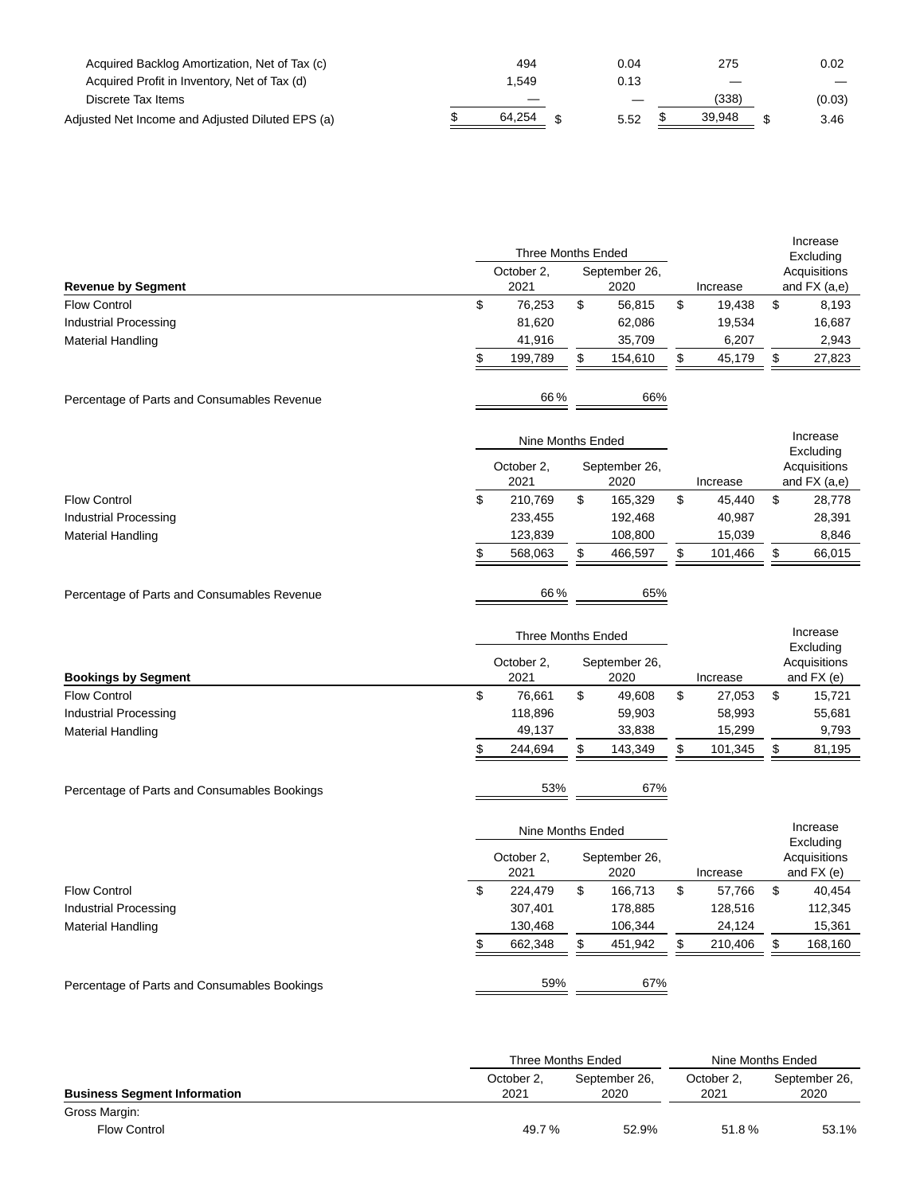| Acquired Backlog Amortization, Net of Tax (c)    | 494    | 0.04 | 275    | 0.02   |
|--------------------------------------------------|--------|------|--------|--------|
| Acquired Profit in Inventory, Net of Tax (d)     | .549   | 0.13 | _      |        |
| Discrete Tax Items                               |        | _    | (338)  | (0.03) |
| Adjusted Net Income and Adjusted Diluted EPS (a) | 64,254 | 5.52 | 39.948 | 3.46   |

|                                              | Three Months Ended        |                    |    |                       |    |          | Increase<br>Excluding                     |
|----------------------------------------------|---------------------------|--------------------|----|-----------------------|----|----------|-------------------------------------------|
| <b>Revenue by Segment</b>                    |                           | October 2,<br>2021 |    | September 26,<br>2020 |    | Increase | Acquisitions<br>and $FX$ (a,e)            |
| \$<br><b>Flow Control</b>                    |                           | 76,253             | \$ | 56,815                | \$ | 19,438   | \$<br>8,193                               |
| <b>Industrial Processing</b>                 |                           | 81,620             |    | 62,086                |    | 19,534   | 16,687                                    |
| <b>Material Handling</b>                     |                           | 41,916             |    | 35,709                |    | 6,207    | 2,943                                     |
| \$                                           |                           | 199,789            | \$ | 154,610               | \$ | 45,179   | \$<br>27,823                              |
| Percentage of Parts and Consumables Revenue  |                           | 66%                |    | 66%                   |    |          |                                           |
|                                              |                           | Nine Months Ended  |    |                       |    |          | Increase                                  |
|                                              |                           | October 2,<br>2021 |    | September 26,<br>2020 |    | Increase | Excluding<br>Acquisitions<br>and FX (a,e) |
| \$<br><b>Flow Control</b>                    |                           | 210,769            | \$ | 165,329               | \$ | 45,440   | \$<br>28,778                              |
| <b>Industrial Processing</b>                 |                           | 233,455            |    | 192,468               |    | 40,987   | 28,391                                    |
| <b>Material Handling</b>                     |                           | 123,839            |    | 108,800               |    | 15,039   | 8,846                                     |
| \$                                           |                           | 568,063            | \$ | 466,597               | \$ | 101,466  | \$<br>66,015                              |
| Percentage of Parts and Consumables Revenue  |                           | 66%                |    | 65%                   |    |          |                                           |
|                                              | <b>Three Months Ended</b> |                    |    |                       |    |          | Increase                                  |
| <b>Bookings by Segment</b>                   |                           | October 2,<br>2021 |    | September 26,<br>2020 |    | Increase | Excluding<br>Acquisitions<br>and FX (e)   |
| <b>Flow Control</b><br>\$                    |                           | 76,661             | \$ | 49,608                | \$ | 27,053   | \$<br>15,721                              |
| <b>Industrial Processing</b>                 |                           | 118,896            |    | 59,903                |    | 58,993   | 55,681                                    |
| <b>Material Handling</b>                     |                           | 49,137             |    | 33,838                |    | 15,299   | 9,793                                     |
| \$                                           |                           | 244,694            | \$ | 143,349               | \$ | 101,345  | \$<br>81,195                              |
| Percentage of Parts and Consumables Bookings |                           | 53%                |    | 67%                   |    |          |                                           |
|                                              | Nine Months Ended         |                    |    |                       |    |          | Increase                                  |
|                                              |                           | October 2,<br>2021 |    | September 26,<br>2020 |    | Increase | Excluding<br>Acquisitions<br>and FX (e)   |
| <b>Flow Control</b><br>\$                    |                           | 224,479            | \$ | 166,713               | \$ | 57,766   | \$<br>40,454                              |
| <b>Industrial Processing</b>                 |                           | 307,401            |    | 178,885               |    | 128,516  | 112,345                                   |
| <b>Material Handling</b>                     |                           | 130,468            |    | 106,344               |    | 24,124   | 15,361                                    |
| \$                                           |                           | 662,348            | \$ | 451,942               | \$ | 210,406  | \$<br>168,160                             |
| Percentage of Parts and Consumables Bookings |                           | 59%                |    | 67%                   |    |          |                                           |
|                                              |                           |                    |    |                       |    |          |                                           |

|                                     |                    | Three Months Ended    | Nine Months Ended  |                       |  |  |
|-------------------------------------|--------------------|-----------------------|--------------------|-----------------------|--|--|
| <b>Business Segment Information</b> | October 2.<br>2021 | September 26.<br>2020 | October 2.<br>2021 | September 26,<br>2020 |  |  |
| Gross Margin:                       |                    |                       |                    |                       |  |  |
| <b>Flow Control</b>                 | 49.7%              | 52.9%                 | 51.8%              | 53.1%                 |  |  |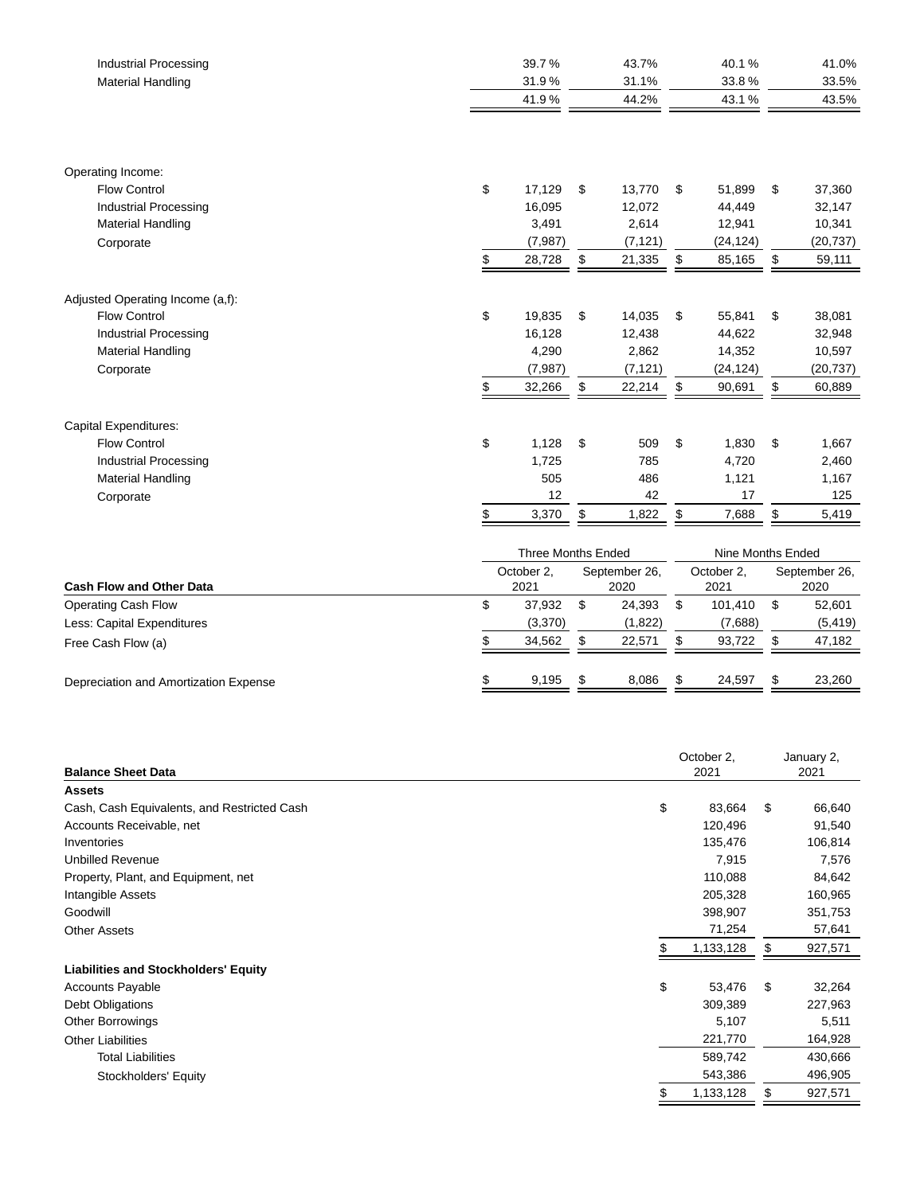| <b>Industrial Processing</b><br><b>Material Handling</b> | 39.7%<br>31.9%<br>41.9%   | 43.7%<br>31.1%<br>44.2% | 40.1%<br>33.8%<br>43.1% | 41.0%<br>33.5%<br>43.5% |
|----------------------------------------------------------|---------------------------|-------------------------|-------------------------|-------------------------|
| Operating Income:                                        |                           |                         |                         |                         |
| <b>Flow Control</b>                                      | \$<br>17,129              | \$<br>13,770            | \$<br>51,899            | \$<br>37,360            |
| <b>Industrial Processing</b>                             | 16,095                    | 12,072                  | 44,449                  | 32,147                  |
| <b>Material Handling</b>                                 | 3,491                     | 2,614                   | 12,941                  | 10,341                  |
| Corporate                                                | (7, 987)                  | (7, 121)                | (24, 124)               | (20, 737)               |
|                                                          | \$<br>28,728              | \$<br>21,335            | \$<br>85,165            | \$<br>59,111            |
| Adjusted Operating Income (a,f):                         |                           |                         |                         |                         |
| <b>Flow Control</b>                                      | \$<br>19,835              | \$<br>14,035            | \$<br>55,841            | \$<br>38,081            |
| <b>Industrial Processing</b>                             | 16,128                    | 12,438                  | 44,622                  | 32,948                  |
| <b>Material Handling</b>                                 | 4,290                     | 2,862                   | 14,352                  | 10,597                  |
| Corporate                                                | (7, 987)                  | (7, 121)                | (24, 124)               | (20, 737)               |
|                                                          | \$<br>32,266              | \$<br>22,214            | \$<br>90,691            | \$<br>60,889            |
|                                                          |                           |                         |                         |                         |
| <b>Capital Expenditures:</b><br><b>Flow Control</b>      |                           | \$<br>509               |                         | \$                      |
| <b>Industrial Processing</b>                             | \$<br>1,128<br>1,725      | 785                     | \$<br>1,830<br>4,720    | 1,667<br>2,460          |
| <b>Material Handling</b>                                 | 505                       | 486                     | 1,121                   | 1,167                   |
| Corporate                                                | 12                        | 42                      | 17                      | 125                     |
|                                                          | \$<br>3,370               | \$<br>1,822             | \$<br>7,688             | \$<br>5,419             |
|                                                          |                           |                         |                         |                         |
|                                                          | <b>Three Months Ended</b> |                         | Nine Months Ended       |                         |
| <b>Cash Flow and Other Data</b>                          | October 2,<br>2021        | September 26,<br>2020   | October 2,<br>2021      | September 26,<br>2020   |
| Operating Cash Flow                                      | \$<br>37,932              | \$<br>24,393            | \$<br>101,410           | \$<br>52,601            |
| Less: Capital Expenditures                               | (3,370)                   | (1,822)                 | (7,688)                 | (5, 419)                |
| Free Cash Flow (a)                                       | \$<br>34,562              | \$<br>22,571            | \$<br>93,722            | \$<br>47,182            |
| Depreciation and Amortization Expense                    | \$<br>9,195               | \$<br>8,086             | \$<br>24,597            | \$<br>23,260            |

| <b>Balance Sheet Data</b>                   | October 2,<br>2021 | January 2,    |  |
|---------------------------------------------|--------------------|---------------|--|
|                                             |                    | 2021          |  |
| <b>Assets</b>                               |                    |               |  |
| Cash, Cash Equivalents, and Restricted Cash | \$<br>83,664       | \$<br>66,640  |  |
| Accounts Receivable, net                    | 120,496            | 91,540        |  |
| Inventories                                 | 135,476            | 106,814       |  |
| <b>Unbilled Revenue</b>                     | 7,915              | 7,576         |  |
| Property, Plant, and Equipment, net         | 110,088            | 84,642        |  |
| Intangible Assets                           | 205,328            | 160,965       |  |
| Goodwill                                    | 398,907            | 351,753       |  |
| <b>Other Assets</b>                         | 71,254             | 57,641        |  |
|                                             | 1,133,128          | \$<br>927,571 |  |
| <b>Liabilities and Stockholders' Equity</b> |                    |               |  |
| <b>Accounts Payable</b>                     | \$<br>53,476       | \$<br>32,264  |  |
| Debt Obligations                            | 309,389            | 227,963       |  |
| <b>Other Borrowings</b>                     | 5,107              | 5,511         |  |
| <b>Other Liabilities</b>                    | 221,770            | 164,928       |  |
| <b>Total Liabilities</b>                    | 589,742            | 430,666       |  |
| Stockholders' Equity                        | 543,386            | 496,905       |  |
|                                             | \$<br>1,133,128    | \$<br>927,571 |  |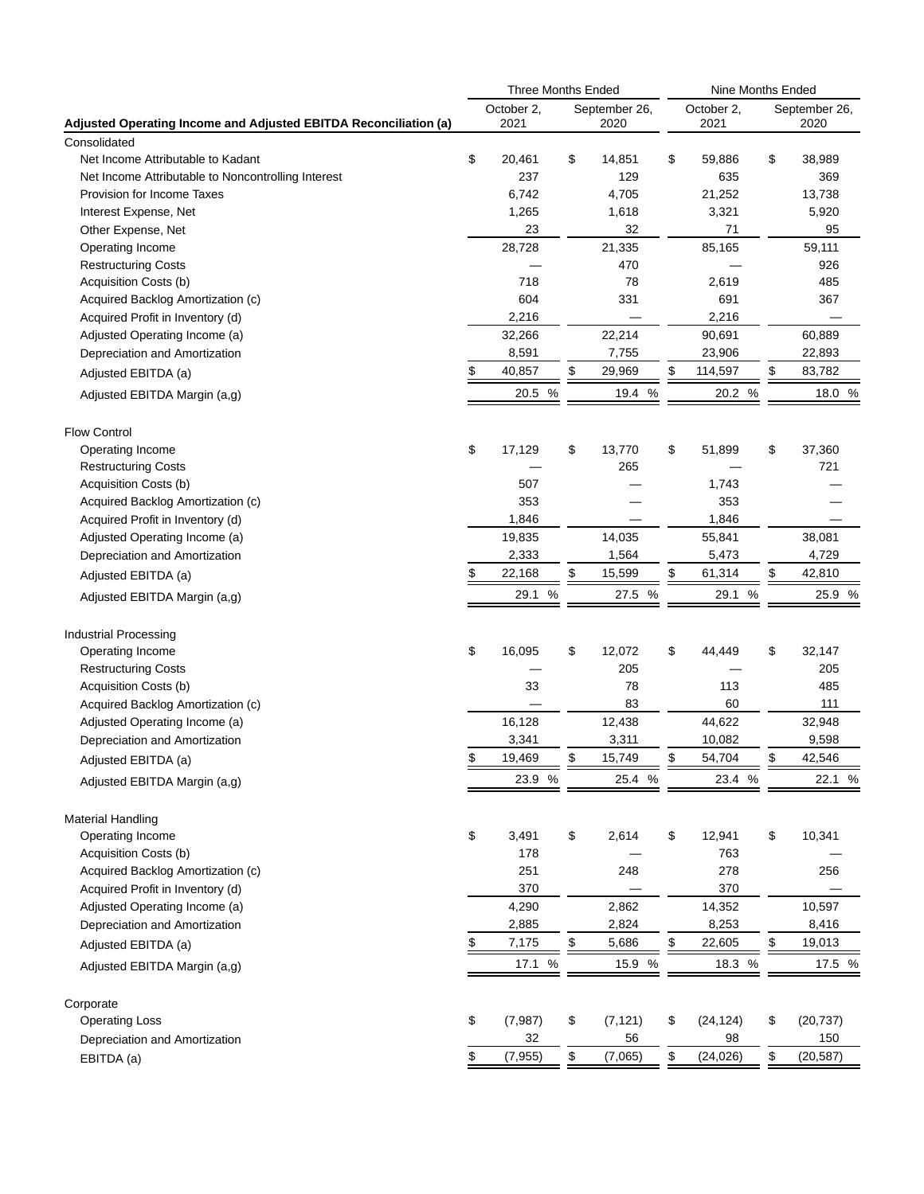|                                                                                  |               | <b>Three Months Ended</b> |    |               |    |               | Nine Months Ended |               |  |
|----------------------------------------------------------------------------------|---------------|---------------------------|----|---------------|----|---------------|-------------------|---------------|--|
|                                                                                  |               | October 2,                |    | September 26, |    | October 2,    |                   | September 26, |  |
| Adjusted Operating Income and Adjusted EBITDA Reconciliation (a)                 |               | 2021                      |    | 2020          |    | 2021          |                   | 2020          |  |
| Consolidated                                                                     |               |                           |    |               |    |               |                   |               |  |
| Net Income Attributable to Kadant                                                | \$            | 20,461<br>237             | \$ | 14,851<br>129 | \$ | 59,886<br>635 | \$                | 38,989<br>369 |  |
| Net Income Attributable to Noncontrolling Interest<br>Provision for Income Taxes |               | 6,742                     |    | 4,705         |    | 21,252        |                   | 13,738        |  |
| Interest Expense, Net                                                            |               | 1,265                     |    | 1,618         |    | 3,321         |                   | 5,920         |  |
| Other Expense, Net                                                               |               | 23                        |    | 32            |    | 71            |                   | 95            |  |
| Operating Income                                                                 |               | 28,728                    |    | 21,335        |    | 85,165        |                   | 59,111        |  |
| <b>Restructuring Costs</b>                                                       |               |                           |    | 470           |    |               |                   | 926           |  |
| Acquisition Costs (b)                                                            |               | 718                       |    | 78            |    | 2,619         |                   | 485           |  |
| Acquired Backlog Amortization (c)                                                |               | 604                       |    | 331           |    | 691           |                   | 367           |  |
| Acquired Profit in Inventory (d)                                                 |               | 2,216                     |    |               |    | 2,216         |                   |               |  |
| Adjusted Operating Income (a)                                                    |               | 32,266                    |    | 22,214        |    | 90,691        |                   | 60,889        |  |
| Depreciation and Amortization                                                    |               | 8,591                     |    | 7,755         |    | 23,906        |                   | 22,893        |  |
| Adjusted EBITDA (a)                                                              | S             | 40,857                    |    | \$<br>29,969  | \$ | 114,597       | \$                | 83,782        |  |
|                                                                                  |               | 20.5 %                    |    | 19.4 %        |    | 20.2 %        |                   | 18.0 %        |  |
| Adjusted EBITDA Margin (a,g)                                                     |               |                           |    |               |    |               |                   |               |  |
| <b>Flow Control</b>                                                              |               |                           |    |               |    |               |                   |               |  |
| Operating Income                                                                 | \$            | 17,129                    | \$ | 13,770        | \$ | 51,899        | \$                | 37,360        |  |
| <b>Restructuring Costs</b>                                                       |               |                           |    | 265           |    |               |                   | 721           |  |
| Acquisition Costs (b)                                                            |               | 507                       |    |               |    | 1,743         |                   |               |  |
| Acquired Backlog Amortization (c)                                                |               | 353                       |    |               |    | 353           |                   |               |  |
| Acquired Profit in Inventory (d)                                                 |               | 1,846                     |    |               |    | 1,846         |                   |               |  |
| Adjusted Operating Income (a)                                                    |               | 19,835                    |    | 14,035        |    | 55,841        |                   | 38,081        |  |
| Depreciation and Amortization                                                    |               | 2,333                     |    | 1,564         |    | 5,473         |                   | 4,729         |  |
| Adjusted EBITDA (a)                                                              | \$            | 22,168                    | \$ | 15,599        | \$ | 61,314        | \$                | 42,810        |  |
| Adjusted EBITDA Margin (a,g)                                                     |               | $\%$<br>29.1              |    | 27.5 %        |    | 29.1 %        |                   | 25.9 %        |  |
| <b>Industrial Processing</b>                                                     |               |                           |    |               |    |               |                   |               |  |
| Operating Income                                                                 | \$            | 16,095                    | \$ | 12,072        | \$ | 44,449        | \$                | 32,147        |  |
| <b>Restructuring Costs</b>                                                       |               |                           |    | 205           |    |               |                   | 205           |  |
| Acquisition Costs (b)                                                            |               | 33                        |    | 78            |    | 113           |                   | 485           |  |
| Acquired Backlog Amortization (c)                                                |               |                           |    | 83            |    | 60            |                   | 111           |  |
| Adjusted Operating Income (a)                                                    |               | 16,128                    |    | 12,438        |    | 44,622        |                   | 32,948        |  |
| Depreciation and Amortization                                                    |               | 3,341                     |    | 3,311         |    | 10,082        |                   | 9,598         |  |
| Adjusted EBITDA (a)                                                              | \$            | 19.469                    | \$ | 15.749        | \$ | 54.704        | \$                | 42.546        |  |
| Adjusted EBITDA Margin (a,g)                                                     |               | 23.9 %                    |    | 25.4 %        |    | 23.4 %        |                   | 22.1 %        |  |
|                                                                                  |               |                           |    |               |    |               |                   |               |  |
| <b>Material Handling</b><br>Operating Income                                     | \$            | 3,491                     | \$ | 2,614         | \$ | 12,941        | \$                | 10,341        |  |
| Acquisition Costs (b)                                                            |               | 178                       |    |               |    | 763           |                   |               |  |
| Acquired Backlog Amortization (c)                                                |               | 251                       |    | 248           |    | 278           |                   | 256           |  |
| Acquired Profit in Inventory (d)                                                 |               | 370                       |    |               |    | 370           |                   |               |  |
| Adjusted Operating Income (a)                                                    |               | 4,290                     |    | 2,862         |    | 14,352        |                   | 10,597        |  |
| Depreciation and Amortization                                                    |               | 2,885                     |    | 2,824         |    | 8,253         |                   | 8,416         |  |
| Adjusted EBITDA (a)                                                              | $\frac{3}{2}$ | 7,175                     |    | \$<br>5,686   | \$ | 22,605        | \$                | 19,013        |  |
| Adjusted EBITDA Margin (a,g)                                                     |               | 17.1 %                    |    | 15.9<br>%     |    | 18.3<br>%     |                   | 17.5 %        |  |
|                                                                                  |               |                           |    |               |    |               |                   |               |  |
| Corporate                                                                        |               |                           |    |               |    |               |                   |               |  |
| <b>Operating Loss</b>                                                            | \$            | (7, 987)                  | \$ | (7, 121)      | \$ | (24, 124)     | \$                | (20, 737)     |  |
| Depreciation and Amortization                                                    |               | 32                        |    | 56            |    | 98            |                   | 150           |  |
| EBITDA (a)                                                                       | \$            | (7, 955)                  |    | \$<br>(7,065) | \$ | (24, 026)     | \$                | (20, 587)     |  |